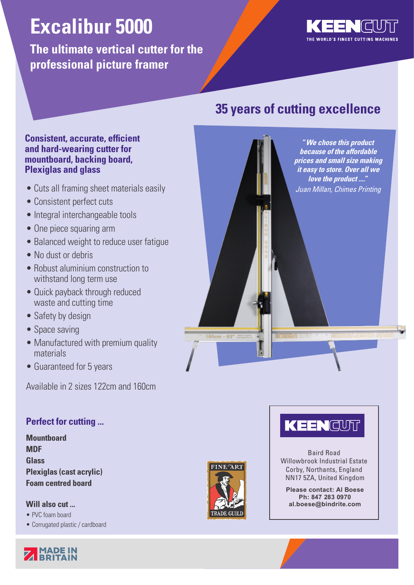# **Excalibur 5000**

**The ultimate vertical cutter for the professional picture framer**



**"We chose this product because of the affordable prices and small size making it easy to store. Over all we love the product ...."**

# **35 years of cutting excellence**

# **Consistent, accurate, efficient and hard-wearing cutter for mountboard, backing board, Plexiglas and glass**

- Cuts all framing sheet materials easily **The Cuts and Millan Millan, Chimes Printing**
- Consistent perfect cuts
- Integral interchangeable tools
- One piece squaring arm
- Balanced weight to reduce user fatigue
- No dust or debris
- Robust aluminium construction to withstand long term use
- Quick payback through reduced waste and cutting time
- Safety by design
- Space saving
- Manufactured with premium quality materials
- Guaranteed for 5 years

Available in 2 sizes 122cm and 160cm

# **Perfect for cutting ...**

**Mountboard MDF Glass Plexiglas (cast acrylic) Foam centred board**

# **Will also cut ...**

- PVC foam board
- Corrugated plastic / cardboard





# KEENCUT

Baird Road Willowbrook Industrial Estate Corby, Northants, England NN17 5ZA, United Kingdom

**Please contact: Al Boese Ph: 847 283 0970 al.boese@bindrite.com**